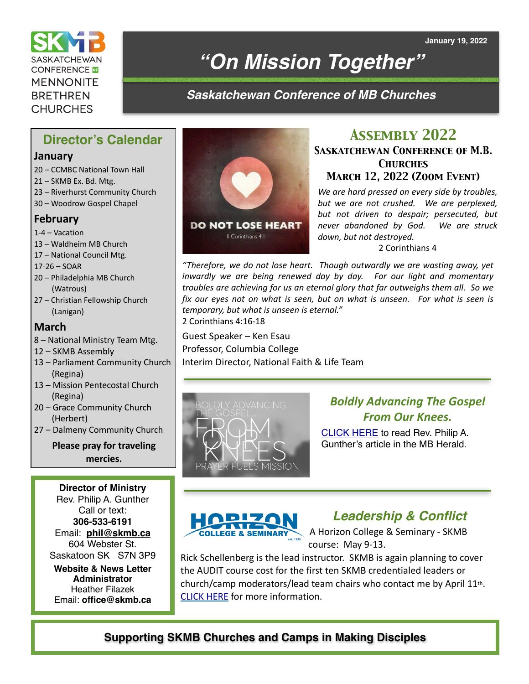**SASKATCHEWAN CONFERENCE MENNONITE BRETHREN CHURCHES** 

# *"On Mission Together"*

## *Saskatchewan Conference of MB Churches*

## **Director's Calendar**

#### **January**

- 20 CCMBC National Town Hall
- 21 SKMB Ex. Bd. Mtg.
- 23 Riverhurst Community Church
- 30 Woodrow Gospel Chapel

### **February**

- 1-4 Vacation
- 13 Waldheim MB Church
- 17 National Council Mtg.
- 17-26 SOAR
- 20 Philadelphia MB Church (Watrous)
- 27 Christian Fellowship Church (Lanigan)

#### **March**

- 8 National Ministry Team Mtg.
- 12 SKMB Assembly
- 13 Parliament Community Church (Regina)
- 13 Mission Pentecostal Church (Regina)
- 20 Grace Community Church (Herbert)
- 27 Dalmeny Community Church

**Please pray for traveling mercies.**

**Director of Ministry**  Rev. Philip A. Gunther Call or text: **306-533-6191** Email: **[phil@skmb.ca](mailto:phil@skmb.ca)** 604 Webster St. Saskatoon SK S7N 3P9

**Website & News Letter Administrator**  Heather Filazek Email: **[office@skmb.ca](mailto:office@skmb.ca)**



## *Assembly 2022*

#### *Saskatchewan Conference of M.B. Churches March 12, 2022 (Zoom Event)*

*We are hard pressed on every side by troubles, but we are not crushed. We are perplexed, but not driven to despair; persecuted, but never abandoned by God. We are struck down, but not destroyed.* 

2 Corinthians 4

*"Therefore, we do not lose heart. Though outwardly we are wasting away, yet inwardly we are being renewed day by day. For our light and momentary troubles are achieving for us an eternal glory that far outweighs them all. So we fix our eyes not on what is seen, but on what is unseen. For what is seen is temporary, but what is unseen is eternal."* 2 Corinthians 4:16-18

Guest Speaker – Ken Esau Professor, Columbia College Interim Director, National Faith & Life Team



## *Boldly Advancing The Gospel From Our Knees.*

[CLICK HERE](https://mbherald.com/boldly-advancing-the-gospel-from-our-knees/) to read Rev. Philip A. Gunther's article in the MB Herald.



## *Leadership & Conflict*

A Horizon College & Seminary - SKMB course: May 9-13.

Rick Schellenberg is the lead instructor. SKMB is again planning to cover the AUDIT course cost for the first ten SKMB credentialed leaders or church/camp moderators/lead team chairs who contact me by April 11th. [CLICK HERE](https://www.horizon.edu/wp-content/uploads/2022/01/SYLLABUS-P321-Leadership-Conflict-Summer-2022Schellenberg.pdf) for more information.

## **Supporting SKMB Churches and Camps in Making Disciples**

**January 19, 2022**